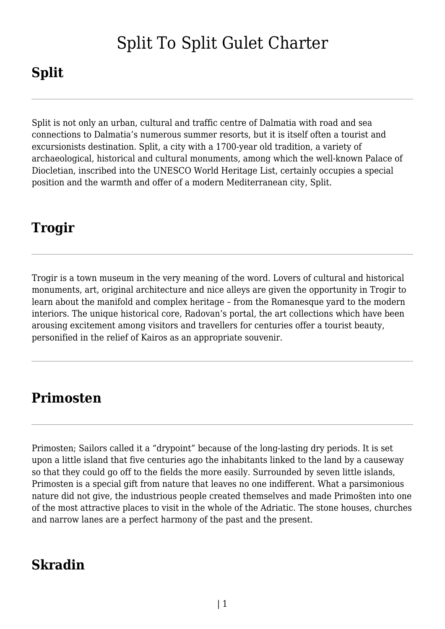# Split To Split Gulet Charter

# **Split**

Split is not only an urban, cultural and traffic centre of Dalmatia with road and sea connections to Dalmatia's numerous summer resorts, but it is itself often a tourist and excursionists destination. Split, a city with a 1700-year old tradition, a variety of archaeological, historical and cultural monuments, among which the well-known Palace of Diocletian, inscribed into the UNESCO World Heritage List, certainly occupies a special position and the warmth and offer of a modern Mediterranean city, Split.

## **Trogir**

Trogir is a town museum in the very meaning of the word. Lovers of cultural and historical monuments, art, original architecture and nice alleys are given the opportunity in Trogir to learn about the manifold and complex heritage – from the Romanesque yard to the modern interiors. The unique historical core, Radovan's portal, the art collections which have been arousing excitement among visitors and travellers for centuries offer a tourist beauty, personified in the relief of Kairos as an appropriate souvenir.

### **Primosten**

Primosten; Sailors called it a "drypoint" because of the long-lasting dry periods. It is set upon a little island that five centuries ago the inhabitants linked to the land by a causeway so that they could go off to the fields the more easily. Surrounded by seven little islands, Primosten is a special gift from nature that leaves no one indifferent. What a parsimonious nature did not give, the industrious people created themselves and made Primošten into one of the most attractive places to visit in the whole of the Adriatic. The stone houses, churches and narrow lanes are a perfect harmony of the past and the present.

### **Skradin**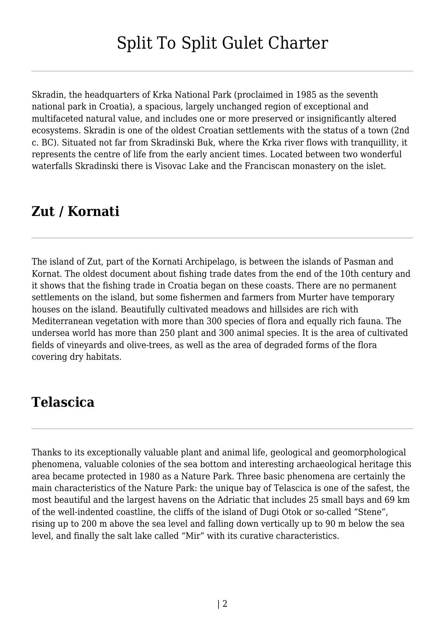Skradin, the headquarters of Krka National Park (proclaimed in 1985 as the seventh national park in Croatia), a spacious, largely unchanged region of exceptional and multifaceted natural value, and includes one or more preserved or insignificantly altered ecosystems. Skradin is one of the oldest Croatian settlements with the status of a town (2nd c. BC). Situated not far from Skradinski Buk, where the Krka river flows with tranquillity, it represents the centre of life from the early ancient times. Located between two wonderful waterfalls Skradinski there is Visovac Lake and the Franciscan monastery on the islet.

### **Zut / Kornati**

The island of Zut, part of the Kornati Archipelago, is between the islands of Pasman and Kornat. The oldest document about fishing trade dates from the end of the 10th century and it shows that the fishing trade in Croatia began on these coasts. There are no permanent settlements on the island, but some fishermen and farmers from Murter have temporary houses on the island. Beautifully cultivated meadows and hillsides are rich with Mediterranean vegetation with more than 300 species of flora and equally rich fauna. The undersea world has more than 250 plant and 300 animal species. It is the area of cultivated fields of vineyards and olive-trees, as well as the area of degraded forms of the flora covering dry habitats.

#### **Telascica**

Thanks to its exceptionally valuable plant and animal life, geological and geomorphological phenomena, valuable colonies of the sea bottom and interesting archaeological heritage this area became protected in 1980 as a Nature Park. Three basic phenomena are certainly the main characteristics of the Nature Park: the unique bay of Telascica is one of the safest, the most beautiful and the largest havens on the Adriatic that includes 25 small bays and 69 km of the well-indented coastline, the cliffs of the island of Dugi Otok or so-called "Stene", rising up to 200 m above the sea level and falling down vertically up to 90 m below the sea level, and finally the salt lake called "Mir" with its curative characteristics.